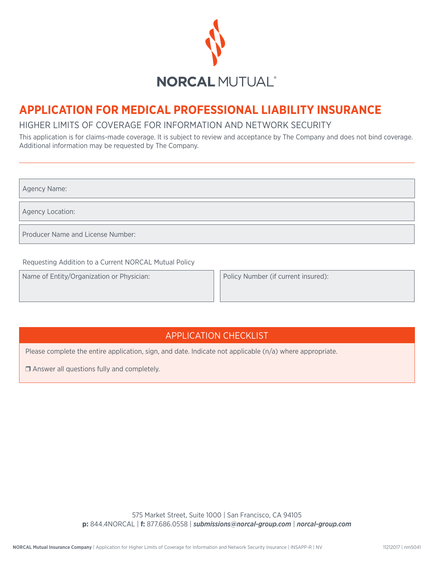

# **APPLICATION FOR MEDICAL PROFESSIONAL LIABILITY INSURANCE**

## HIGHER LIMITS OF COVERAGE FOR INFORMATION AND NETWORK SECURITY

This application is for claims-made coverage. It is subject to review and acceptance by The Company and does not bind coverage. Additional information may be requested by The Company.

Agency Name:

Agency Location:

Producer Name and License Number:

Requesting Addition to a Current NORCAL Mutual Policy

Name of Entity/Organization or Physician:

Policy Number (if current insured):

## APPLICATION CHECKLIST

Please complete the entire application, sign, and date. Indicate not applicable (n/a) where appropriate.

❒ Answer all questions fully and completely.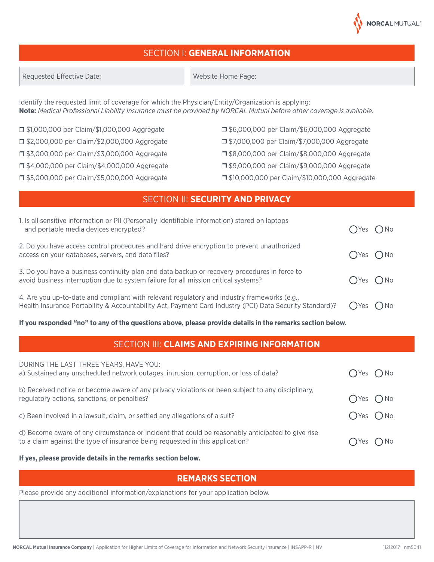## SECTION I: **GENERAL INFORMATION**

Identify the requested limit of coverage for which the Physician/Entity/Organization is applying: **Note:** *Medical Professional Liability Insurance must be provided by NORCAL Mutual before other coverage is available.*

❒ \$1,000,000 per Claim/\$1,000,000 Aggregate ❒ \$2,000,000 per Claim/\$2,000,000 Aggregate ❒ \$3,000,000 per Claim/\$3,000,000 Aggregate

❒ \$4,000,000 per Claim/\$4,000,000 Aggregate

❒ \$5,000,000 per Claim/\$5,000,000 Aggregate

❒ \$6,000,000 per Claim/\$6,000,000 Aggregate

❒ \$7,000,000 per Claim/\$7,000,000 Aggregate

❒ \$8,000,000 per Claim/\$8,000,000 Aggregate

❒ \$9,000,000 per Claim/\$9,000,000 Aggregate

❒ \$10,000,000 per Claim/\$10,000,000 Aggregate

## SECTION II: **SECURITY AND PRIVACY**

| 1. Is all sensitive information or PII (Personally Identifiable Information) stored on laptops<br>and portable media devices encrypted?                                                                |                 | $\bigcap$ Yes $\bigcap$ No |
|--------------------------------------------------------------------------------------------------------------------------------------------------------------------------------------------------------|-----------------|----------------------------|
| 2. Do you have access control procedures and hard drive encryption to prevent unauthorized<br>access on your databases, servers, and data files?                                                       | $OYes$ $ONo$    |                            |
| 3. Do you have a business continuity plan and data backup or recovery procedures in force to<br>avoid business interruption due to system failure for all mission critical systems?                    | $OYes$ $ONo$    |                            |
| 4. Are you up-to-date and compliant with relevant regulatory and industry frameworks (e.g.,<br>Health Insurance Portability & Accountability Act, Payment Card Industry (PCI) Data Security Standard)? | $\bigcap$ Yes ' | $O$ No                     |

#### **If you responded "no" to any of the questions above, please provide details in the remarks section below.**

## SECTION III: **CLAIMS AND EXPIRING INFORMATION**

| DURING THE LAST THREE YEARS, HAVE YOU:<br>a) Sustained any unscheduled network outages, intrusion, corruption, or loss of data?                                                    | $\bigcap$ Yes $\bigcap$ No |              |
|------------------------------------------------------------------------------------------------------------------------------------------------------------------------------------|----------------------------|--------------|
| b) Received notice or become aware of any privacy violations or been subject to any disciplinary,<br>regulatory actions, sanctions, or penalties?                                  | $OYes$ $ONo$               |              |
| c) Been involved in a lawsuit, claim, or settled any allegations of a suit?                                                                                                        | $OYes$ $ONo$               |              |
| d) Become aware of any circumstance or incident that could be reasonably anticipated to give rise<br>to a claim against the type of insurance being requested in this application? | Yes                        | $\bigcap$ No |

#### **If yes, please provide details in the remarks section below.**

## **REMARKS SECTION**

Please provide any additional information/explanations for your application below.

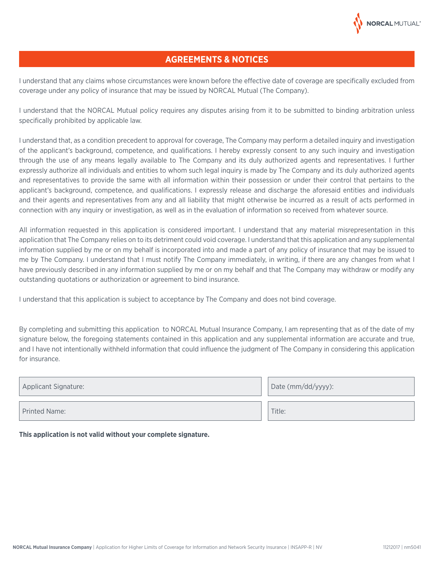

## **AGREEMENTS & NOTICES**

I understand that any claims whose circumstances were known before the effective date of coverage are specifically excluded from coverage under any policy of insurance that may be issued by NORCAL Mutual (The Company).

I understand that the NORCAL Mutual policy requires any disputes arising from it to be submitted to binding arbitration unless specifically prohibited by applicable law.

I understand that, as a condition precedent to approval for coverage, The Company may perform a detailed inquiry and investigation of the applicant's background, competence, and qualifications. I hereby expressly consent to any such inquiry and investigation through the use of any means legally available to The Company and its duly authorized agents and representatives. I further expressly authorize all individuals and entities to whom such legal inquiry is made by The Company and its duly authorized agents and representatives to provide the same with all information within their possession or under their control that pertains to the applicant's background, competence, and qualifications. I expressly release and discharge the aforesaid entities and individuals and their agents and representatives from any and all liability that might otherwise be incurred as a result of acts performed in connection with any inquiry or investigation, as well as in the evaluation of information so received from whatever source.

All information requested in this application is considered important. I understand that any material misrepresentation in this application that The Company relies on to its detriment could void coverage. I understand that this application and any supplemental information supplied by me or on my behalf is incorporated into and made a part of any policy of insurance that may be issued to me by The Company. I understand that I must notify The Company immediately, in writing, if there are any changes from what I have previously described in any information supplied by me or on my behalf and that The Company may withdraw or modify any outstanding quotations or authorization or agreement to bind insurance.

I understand that this application is subject to acceptance by The Company and does not bind coverage.

By completing and submitting this application to NORCAL Mutual Insurance Company, I am representing that as of the date of my signature below, the foregoing statements contained in this application and any supplemental information are accurate and true, and I have not intentionally withheld information that could influence the judgment of The Company in considering this application for insurance.

| Applicant Signature: | Date (mm/dd/yyyy): |
|----------------------|--------------------|
| <b>Printed Name:</b> | Title:             |
|                      |                    |

**This application is not valid without your complete signature.**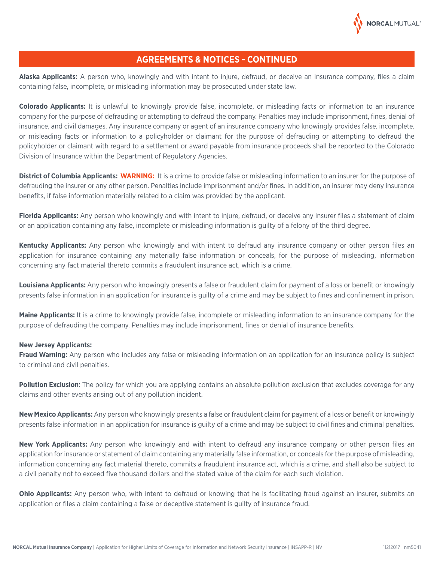

### **AGREEMENTS & NOTICES - CONTINUED**

**Alaska Applicants:** A person who, knowingly and with intent to injure, defraud, or deceive an insurance company, files a claim containing false, incomplete, or misleading information may be prosecuted under state law.

**Colorado Applicants:** It is unlawful to knowingly provide false, incomplete, or misleading facts or information to an insurance company for the purpose of defrauding or attempting to defraud the company. Penalties may include imprisonment, fines, denial of insurance, and civil damages. Any insurance company or agent of an insurance company who knowingly provides false, incomplete, or misleading facts or information to a policyholder or claimant for the purpose of defrauding or attempting to defraud the policyholder or claimant with regard to a settlement or award payable from insurance proceeds shall be reported to the Colorado Division of Insurance within the Department of Regulatory Agencies.

**District of Columbia Applicants: WARNING:** It is a crime to provide false or misleading information to an insurer for the purpose of defrauding the insurer or any other person. Penalties include imprisonment and/or fines. In addition, an insurer may deny insurance benefits, if false information materially related to a claim was provided by the applicant.

**Florida Applicants:** Any person who knowingly and with intent to injure, defraud, or deceive any insurer files a statement of claim or an application containing any false, incomplete or misleading information is guilty of a felony of the third degree.

**Kentucky Applicants:** Any person who knowingly and with intent to defraud any insurance company or other person files an application for insurance containing any materially false information or conceals, for the purpose of misleading, information concerning any fact material thereto commits a fraudulent insurance act, which is a crime.

**Louisiana Applicants:** Any person who knowingly presents a false or fraudulent claim for payment of a loss or benefit or knowingly presents false information in an application for insurance is guilty of a crime and may be subject to fines and confinement in prison.

**Maine Applicants:** It is a crime to knowingly provide false, incomplete or misleading information to an insurance company for the purpose of defrauding the company. Penalties may include imprisonment, fines or denial of insurance benefits.

#### **New Jersey Applicants:**

**Fraud Warning:** Any person who includes any false or misleading information on an application for an insurance policy is subject to criminal and civil penalties.

**Pollution Exclusion:** The policy for which you are applying contains an absolute pollution exclusion that excludes coverage for any claims and other events arising out of any pollution incident.

**New Mexico Applicants:** Any person who knowingly presents a false or fraudulent claim for payment of a loss or benefit or knowingly presents false information in an application for insurance is guilty of a crime and may be subject to civil fines and criminal penalties.

**New York Applicants:** Any person who knowingly and with intent to defraud any insurance company or other person files an application for insurance or statement of claim containing any materially false information, or conceals for the purpose of misleading, information concerning any fact material thereto, commits a fraudulent insurance act, which is a crime, and shall also be subject to a civil penalty not to exceed five thousand dollars and the stated value of the claim for each such violation.

**Ohio Applicants:** Any person who, with intent to defraud or knowing that he is facilitating fraud against an insurer, submits an application or files a claim containing a false or deceptive statement is guilty of insurance fraud.